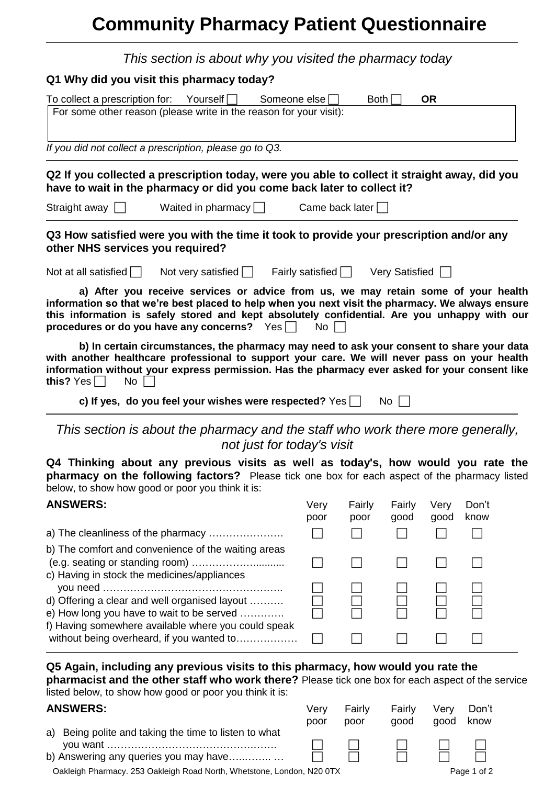# **Community Pharmacy Patient Questionnaire**

| This section is about why you visited the pharmacy today                                                                                                                                                                                                                                                                                                                  |              |                                   |                |              |               |
|---------------------------------------------------------------------------------------------------------------------------------------------------------------------------------------------------------------------------------------------------------------------------------------------------------------------------------------------------------------------------|--------------|-----------------------------------|----------------|--------------|---------------|
| Q1 Why did you visit this pharmacy today?                                                                                                                                                                                                                                                                                                                                 |              |                                   |                |              |               |
| To collect a prescription for: Yourself $\Box$<br>Someone else                                                                                                                                                                                                                                                                                                            |              | Both                              |                | <b>OR</b>    |               |
| For some other reason (please write in the reason for your visit):                                                                                                                                                                                                                                                                                                        |              |                                   |                |              |               |
| If you did not collect a prescription, please go to Q3.                                                                                                                                                                                                                                                                                                                   |              |                                   |                |              |               |
| Q2 If you collected a prescription today, were you able to collect it straight away, did you<br>have to wait in the pharmacy or did you come back later to collect it?                                                                                                                                                                                                    |              |                                   |                |              |               |
| Straight away $\Box$<br>Waited in pharmacy $\Box$                                                                                                                                                                                                                                                                                                                         |              | Came back later $\Box$            |                |              |               |
| Q3 How satisfied were you with the time it took to provide your prescription and/or any<br>other NHS services you required?                                                                                                                                                                                                                                               |              |                                   |                |              |               |
| Not at all satisfied $\Box$ Not very satisfied $\Box$                                                                                                                                                                                                                                                                                                                     |              | Fairly satisfied   Very Satisfied |                |              |               |
| a) After you receive services or advice from us, we may retain some of your health<br>information so that we're best placed to help when you next visit the pharmacy. We always ensure<br>this information is safely stored and kept absolutely confidential. Are you unhappy with our<br>procedures or do you have any concerns? $\;\;$ $\mathsf{Yes} \,\overline{\Box}$ | No I         |                                   |                |              |               |
| b) In certain circumstances, the pharmacy may need to ask your consent to share your data<br>with another healthcare professional to support your care. We will never pass on your health<br>information without your express permission. Has the pharmacy ever asked for your consent like<br>this? Yes $\Box$<br>No                                                     |              |                                   |                |              |               |
| c) If yes, do you feel your wishes were respected? Yes $\Box$                                                                                                                                                                                                                                                                                                             |              |                                   | No             |              |               |
| This section is about the pharmacy and the staff who work there more generally,<br>not just for today's visit                                                                                                                                                                                                                                                             |              |                                   |                |              |               |
| Q4 Thinking about any previous visits as well as today's, how would you rate the<br>pharmacy on the following factors? Please tick one box for each aspect of the pharmacy listed<br>below, to show how good or poor you think it is:                                                                                                                                     |              |                                   |                |              |               |
| <b>ANSWERS:</b>                                                                                                                                                                                                                                                                                                                                                           | Very<br>poor | Fairly<br>poor                    | Fairly<br>good | Very<br>good | Don't<br>know |
| a) The cleanliness of the pharmacy                                                                                                                                                                                                                                                                                                                                        |              |                                   |                |              |               |
| b) The comfort and convenience of the waiting areas                                                                                                                                                                                                                                                                                                                       |              |                                   |                |              |               |
| c) Having in stock the medicines/appliances                                                                                                                                                                                                                                                                                                                               |              |                                   |                |              |               |
| d) Offering a clear and well organised layout<br>e) How long you have to wait to be served                                                                                                                                                                                                                                                                                |              |                                   |                |              |               |
| f) Having somewhere available where you could speak                                                                                                                                                                                                                                                                                                                       |              |                                   |                |              |               |
| without being overheard, if you wanted to                                                                                                                                                                                                                                                                                                                                 |              |                                   |                |              |               |
| Q5 Again, including any previous visits to this pharmacy, how would you rate the<br>pharmacist and the other staff who work there? Please tick one box for each aspect of the service<br>listed below, to show how good or poor you think it is:                                                                                                                          |              |                                   |                |              |               |

| <b>ANSWERS:</b>                                                                                | Verv<br>poor | Fairly<br>poor | Fairly<br>aood | Verv<br>good | Don't<br>know |
|------------------------------------------------------------------------------------------------|--------------|----------------|----------------|--------------|---------------|
| a) Being polite and taking the time to listen to what<br>b) Answering any queries you may have |              |                |                |              |               |
| Oakleigh Pharmacy. 253 Oakleigh Road North, Whetstone, London, N20 0TX                         |              |                |                |              | Page 1 of 2   |